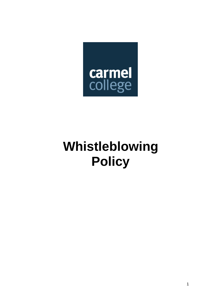

# **Whistleblowing Policy**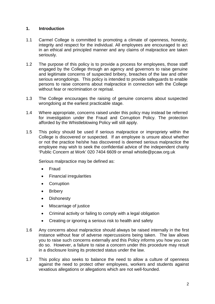# **1. Introduction**

- 1.1 Carmel College is committed to promoting a climate of openness, honesty, integrity and respect for the individual. All employees are encouraged to act in an ethical and principled manner and any claims of malpractice are taken seriously.
- 1.2 The purpose of this policy is to provide a process for employees, those staff engaged by the College through an agency and governors to raise genuine and legitimate concerns of suspected bribery, breaches of the law and other serious wrongdoings. This policy is intended to provide safeguards to enable persons to raise concerns about malpractice in connection with the College without fear or recrimination or reprisal.
- 1.3 The College encourages the raising of genuine concerns about suspected wrongdoing at the earliest practicable stage.
- 1.4 Where appropriate, concerns raised under this policy may instead be referred for investigation under the Fraud and Corruption Policy. The protection afforded by the Whistleblowing Policy will still apply.
- 1.5 This policy should be used if serious malpractice or impropriety within the College is discovered or suspected. If an employee is unsure about whether or not the practice he/she has discovered is deemed serious malpractice the employee may wish to seek the confidential advice of the independent charity 'Public Concern at Work' 020 7404 6609 or email whistle@pcaw.org.uk

Serious malpractice may be defined as:

- Fraud
- Financial irregularities
- **Corruption**
- Bribery
- Dishonesty
- Miscarriage of justice
- Criminal activity or failing to comply with a legal obligation
- Creating or ignoring a serious risk to health and safety
- 1.6 Any concerns about malpractice should always be raised internally in the first instance without fear of adverse repercussions being taken. The law allows you to raise such concerns externally and this Policy informs you how you can do so. However, a failure to raise a concern under this procedure may result in a disclosure losing its protected status under the law.
- 1.7 This policy also seeks to balance the need to allow a culture of openness against the need to protect other employees, workers and students against vexatious allegations or allegations which are not well-founded.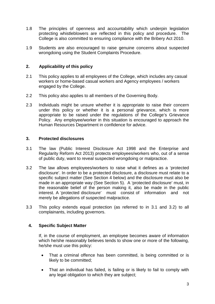- 1.8 The principles of openness and accountability which underpin legislation protecting whistleblowers are reflected in this policy and procedure. The College is also committed to ensuring compliance with the Bribery Act 2010.
- 1.9 Students are also encouraged to raise genuine concerns about suspected wrongdoing using the Student Complaints Procedure.

# **2. Applicability of this policy**

- 2.1 This policy applies to all employees of the College, which includes any casual workers or home-based casual workers and Agency employees / workers engaged by the College.
- 2.2 This policy also applies to all members of the Governing Body.
- 2.3 Individuals might be unsure whether it is appropriate to raise their concern under this policy or whether it is a personal grievance, which is more appropriate to be raised under the regulations of the College's Grievance Policy. Any employee/worker in this situation is encouraged to approach the Human Resources Department in confidence for advice.

## **3. Protected disclosures**

- 3.1 The law (Public Interest Disclosure Act 1998 and the Enterprise and Regularity Reform Act 2013) protects employees/workers who, out of a sense of public duty, want to reveal suspected wrongdoing or malpractice.
- 3.2 The law allows employees/workers to raise what it defines as a 'protected disclosure'. In order to be a protected disclosure, a disclosure must relate to a specific subject matter (See Section 4 below) and the disclosure must also be made in an appropriate way (See Section 5). A 'protected disclosure' must, in the reasonable belief of the person making it, also be made in the public interest. A 'protected disclosure' must consist of information and not merely be allegations of suspected malpractice.
- 3.3 This policy extends equal protection (as referred to in 3.1 and 3.2) to all complainants, including governors.

# **4. Specific Subject Matter**

If, in the course of employment, an employee becomes aware of information which he/she reasonably believes tends to show one or more of the following, he/she must use this policy:

- That a criminal offence has been committed, is being committed or is likely to be committed;
- That an individual has failed, is failing or is likely to fail to comply with any legal obligation to which they are subject;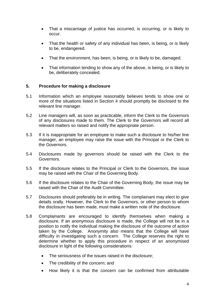- That a miscarriage of justice has occurred, is occurring, or is likely to occur.
- That the health or safety of any individual has been, is being, or is likely to be, endangered.
- That the environment, has been, is being, or is likely to be, damaged.
- That information tending to show any of the above, is being, or is likely to be, deliberately concealed.

## **5. Procedure for making a disclosure**

- 5.1 Information which an employee reasonably believes tends to show one or more of the situations listed in Section 4 should promptly be disclosed to the relevant line manager.
- 5.2 Line managers will, as soon as practicable, inform the Clerk to the Governors of any disclosures made to them. The Clerk to the Governors will record all relevant matters so raised and notify the appropriate person.
- 5.3 If it is inappropriate for an employee to make such a disclosure to his/her line manager, an employee may raise the issue with the Principal or the Clerk to the Governors.
- 5.4 Disclosures made by governors should be raised with the Clerk to the Governors.
- 5.5 If the disclosure relates to the Principal or Clerk to the Governors, the issue may be raised with the Chair of the Governing Body.
- 5.6 If the disclosure relates to the Chair of the Governing Body, the issue may be raised with the Chair of the Audit Committee.
- 5.7 Disclosures should preferably be in writing. The complainant may elect to give details orally. However, the Clerk to the Governors, or other person to whom the disclosure has been made, must make a written note of the disclosure.
- 5.8 Complainants are encouraged to identify themselves when making a disclosure. If an anonymous disclosure is made, the College will not be in a position to notify the individual making the disclosure of the outcome of action taken by the College. Anonymity also means that the College will have difficulty in investigating such a concern. The College reserves the right to determine whether to apply this procedure in respect of an anonymised disclosure in light of the following considerations:
	- The seriousness of the issues raised in the disclosure;
	- The credibility of the concern; and
	- How likely it is that the concern can be confirmed from attributable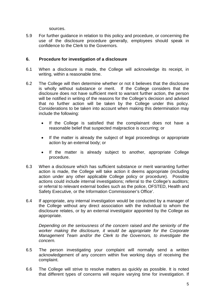sources.

5.9 For further guidance in relation to this policy and procedure, or concerning the use of the disclosure procedure generally, employees should speak in confidence to the Clerk to the Governors*.*

## **6. Procedure for investigation of a disclosure**

- 6.1 When a disclosure is made, the College will acknowledge its receipt, in writing, within a reasonable time.
- 6.2 The College will then determine whether or not it believes that the disclosure is wholly without substance or merit. If the College considers that the disclosure does not have sufficient merit to warrant further action, the person will be notified in writing of the reasons for the College's decision and advised that no further action will be taken by the College under this policy. Considerations to be taken into account when making this determination may include the following:
	- If the College is satisfied that the complainant does not have a reasonable belief that suspected malpractice is occurring; or
	- If the matter is already the subject of legal proceedings or appropriate action by an external body; or
	- If the matter is already subject to another, appropriate College procedure.
- 6.3 When a disclosure which has sufficient substance or merit warranting further action is made, the College will take action it deems appropriate (including action under any other applicable College policy or procedure). Possible actions could include internal investigations; referral to the College's auditors; or referral to relevant external bodies such as the police, OFSTED, Health and Safety Executive, or the Information Commissioner's Office'.
- 6.4 If appropriate, any internal investigation would be conducted by a manager of the College without any direct association with the individual to whom the disclosure relates, or by an external investigator appointed by the College as appropriate.

*Depending on the seriousness of the concern raised and the seniority of the worker making the disclosure, it would be appropriate for the Corporate Management Team and/or the Clerk to the Governors, to investigate the concern.*

- 6.5 The person investigating your complaint will normally send a written acknowledgement of any concern within five working days of receiving the complaint.
- 6.6 The College will strive to resolve matters as quickly as possible. It is noted that different types of concerns will require varying time for investigation. If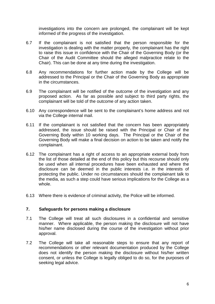investigations into the concern are prolonged, the complainant will be kept informed of the progress of the investigation.

- 6.7 If the complainant is not satisfied that the person responsible for the investigation is dealing with the matter properly, the complainant has the right to raise this issue in confidence with the Chair of the Governing Body (or the Chair of the Audit Committee should the alleged malpractice relate to the Chair). This can be done at any time during the investigation.
- 6.8 Any recommendations for further action made by the College will be addressed to the Principal or the Chair of the Governing Body as appropriate in the circumstances.
- 6.9 The complainant will be notified of the outcome of the investigation and any proposed action. As far as possible and subject to third party rights, the complainant will be told of the outcome of any action taken.
- 6.10 Any correspondence will be sent to the complainant's home address and not via the College internal mail.
- 6.11 If the complainant is not satisfied that the concern has been appropriately addressed, the issue should be raised with the Principal or Chair of the Governing Body within 10 working days. The Principal or the Chair of the Governing Body will make a final decision on action to be taken and notify the complainant.
- 6.12 The complainant has a right of access to an appropriate external body from the list of those detailed at the end of this policy but this recourse should only be used when all internal procedures have been exhausted and where the disclosure can be deemed in the public interests i.e. in the interests of protecting the public. Under no circumstances should the complainant talk to the media, as such a step could have serious implications for the College as a whole.
- 6.13 Where there is evidence of criminal activity, the Police will be informed.

### **7. Safeguards for persons making a disclosure**

- 7.1 The College will treat all such disclosures in a confidential and sensitive manner. Where applicable, the person making the disclosure will not have his/her name disclosed during the course of the investigation without prior approval.
- 7.2 The College will take all reasonable steps to ensure that any report of recommendations or other relevant documentation produced by the College does not identify the person making the disclosure without his/her written consent, or unless the College is legally obliged to do so, for the purposes of seeking legal advice.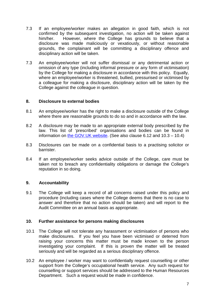- 7.3 If an employee/worker makes an allegation in good faith, which is not confirmed by the subsequent investigation, no action will be taken against him/her. However, where the College has grounds to believe that a disclosure was made maliciously or vexatiously, or without reasonable grounds, the complainant will be committing a disciplinary offence and disciplinary action will be taken.
- 7.3 An employee/worker will not suffer dismissal or any detrimental action or omission of any type (including informal pressure or any form of victimisation) by the College for making a disclosure in accordance with this policy. Equally, where an employee/worker is threatened, bullied, pressurised or victimised by a colleague for making a disclosure, disciplinary action will be taken by the College against the colleague in question.

## **8. Disclosure to external bodies**

- 8.1 An employee/worker has the right to make a disclosure outside of the College where there are reasonable grounds to do so and in accordance with the law.
- 8.2 A disclosure may be made to an appropriate external body prescribed by the law. This list of 'prescribed' organisations and bodies can be found in information on [the GOV.UK website.](https://www.gov.uk/government/uploads/system/uploads/attachment_data/file/183340/11-641-blowing-the-whistle-to-a-prescribed-person.pdf) (See also clause 6.12 and 10.3 – 10.4)
- 8.3 Disclosures can be made on a confidential basis to a practising solicitor or barrister.
- 8.4 If an employee/worker seeks advice outside of the College, care must be taken not to breach any confidentiality obligations or damage the College's reputation in so doing.

# **9. Accountability**

9.1 The College will keep a record of all concerns raised under this policy and procedure (including cases where the College deems that there is no case to answer and therefore that no action should be taken) and will report to the Audit Committee on an annual basis as appropriate.

### **10. Further assistance for persons making disclosures**

- 10.1 The College will not tolerate any harassment or victimisation of persons who make disclosures. If you feel you have been victimised or deterred from raising your concerns this matter must be made known to the person investigating your complaint. If this is proven the matter will be treated seriously and will be regarded as a serious disciplinary offence.
- 10.2 An employee / worker may want to confidentially request counselling or other support from the College's occupational health service. Any such request for counselling or support services should be addressed to the Human Resources Department.Such a request would be made in confidence.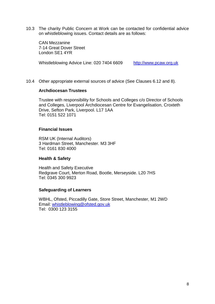10.3 The charity Public Concern at Work can be contacted for confidential advice on whistleblowing issues. Contact details are as follows:

CAN Mezzanine 7-14 Great Dover Street London SE1 4YR

Whistleblowing Advice Line: 020 7404 6609 [http://www.pcaw.org.uk](http://www.pcaw.org.uk/)

10.4 Other appropriate external sources of advice (See Clauses 6.12 and 8).

#### **Archdiocesan Trustees**

Trustee with responsibility for Schools and Colleges c/o Director of Schools and Colleges, Liverpool Archdiocesan Centre for Evangelisation, Croxteth Drive, Sefton Park, Liverpool. L17 1AA Tel: 0151 522 1071

#### **Financial Issues**

RSM UK (Internal Auditors) 3 Hardman Street, Manchester. M3 3HF Tel: 0161 830 4000

#### **Health & Safety**

Health and Safety Executive Redgrave Court, Merton Road, Bootle, Merseyside. L20 7HS Tel: 0345 300 9923

#### **Safeguarding of Learners**

WBHL, Ofsted, Piccadilly Gate, Store Street, Manchester, M1 2WD Email: [whistleblowing@ofsted.gov.uk](mailto:whistleblowing@ofsted.gov.uk) Tel: 0300 123 3155